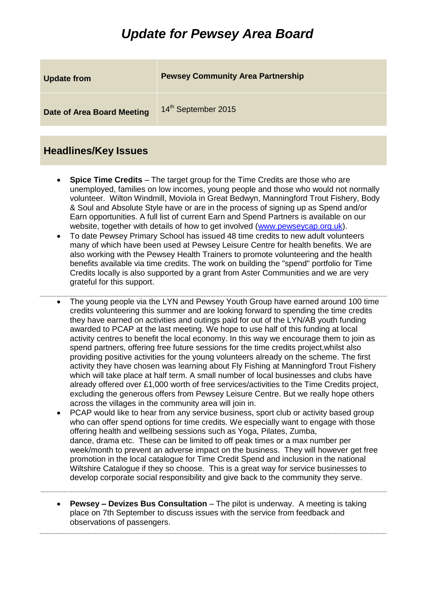## *Update for Pewsey Area Board*

| <b>Update from</b>                | <b>Pewsey Community Area Partnership</b> |
|-----------------------------------|------------------------------------------|
| <b>Date of Area Board Meeting</b> | 14 <sup>th</sup> September 2015          |

## **Headlines/Key Issues**

- **Spice Time Credits** The target group for the Time Credits are those who are unemployed, families on low incomes, young people and those who would not normally volunteer. Wilton Windmill, Moviola in Great Bedwyn, Manningford Trout Fishery, Body & Soul and Absolute Style have or are in the process of signing up as Spend and/or Earn opportunities. A full list of current Earn and Spend Partners is available on our website, together with details of how to get involved [\(www.pewseycap.org.uk\)](http://www.pewseycap.org.uk/).
- To date Pewsey Primary School has issued 48 time credits to new adult volunteers many of which have been used at Pewsey Leisure Centre for health benefits. We are also working with the Pewsey Health Trainers to promote volunteering and the health benefits available via time credits. The work on building the "spend" portfolio for Time Credits locally is also supported by a grant from Aster Communities and we are very grateful for this support.
- The young people via the LYN and Pewsey Youth Group have earned around 100 time credits volunteering this summer and are looking forward to spending the time credits they have earned on activities and outings paid for out of the LYN/AB youth funding awarded to PCAP at the last meeting. We hope to use half of this funding at local activity centres to benefit the local economy. In this way we encourage them to join as spend partners, offering free future sessions for the time credits project,whilst also providing positive activities for the young volunteers already on the scheme. The first activity they have chosen was learning about Fly Fishing at Manningford Trout Fishery which will take place at half term. A small number of local businesses and clubs have already offered over £1,000 worth of free services/activities to the Time Credits project, excluding the generous offers from Pewsey Leisure Centre. But we really hope others across the villages in the community area will join in.
- PCAP would like to hear from any service business, sport club or activity based group who can offer spend options for time credits. We especially want to engage with those offering health and wellbeing sessions such as Yoga, Pilates, Zumba, dance, drama etc. These can be limited to off peak times or a max number per week/month to prevent an adverse impact on the business. They will however get free promotion in the local catalogue for Time Credit Spend and inclusion in the national Wiltshire Catalogue if they so choose. This is a great way for service businesses to develop corporate social responsibility and give back to the community they serve.
- **Pewsey – Devizes Bus Consultation** The pilot is underway. A meeting is taking place on 7th September to discuss issues with the service from feedback and observations of passengers.